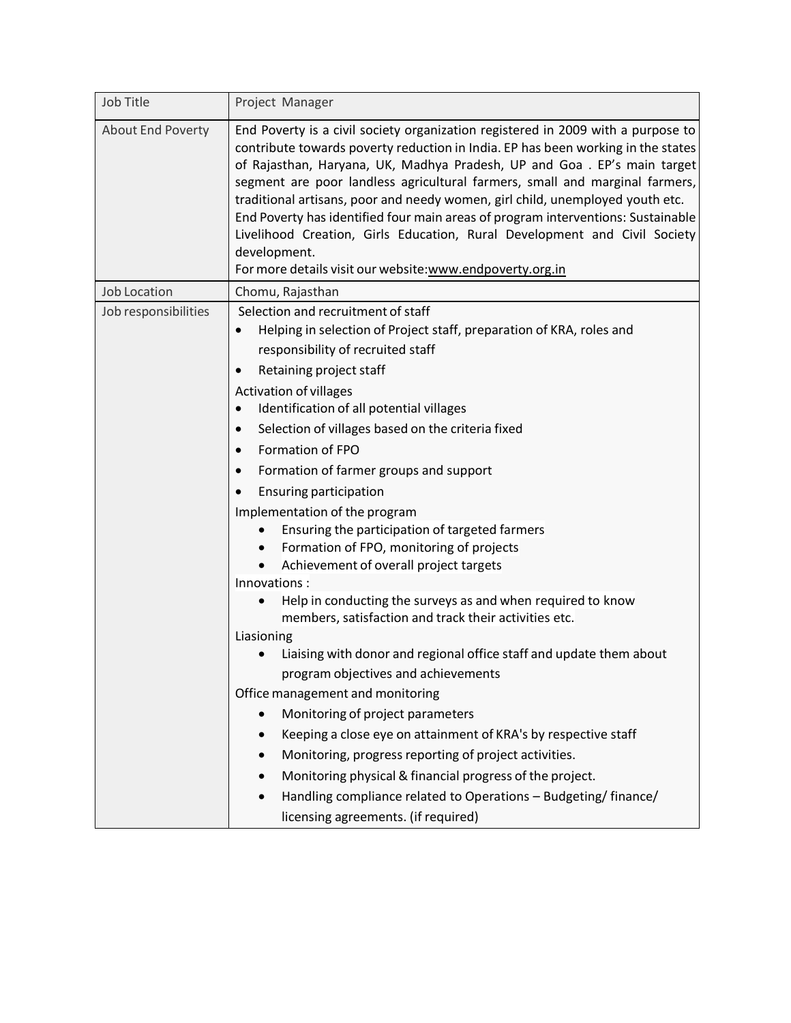| Job Title            | Project Manager                                                                                                                                                                                                                                                                                                                                                                                                                                                                                                                                                                                                                                               |
|----------------------|---------------------------------------------------------------------------------------------------------------------------------------------------------------------------------------------------------------------------------------------------------------------------------------------------------------------------------------------------------------------------------------------------------------------------------------------------------------------------------------------------------------------------------------------------------------------------------------------------------------------------------------------------------------|
| About End Poverty    | End Poverty is a civil society organization registered in 2009 with a purpose to<br>contribute towards poverty reduction in India. EP has been working in the states<br>of Rajasthan, Haryana, UK, Madhya Pradesh, UP and Goa. EP's main target<br>segment are poor landless agricultural farmers, small and marginal farmers,<br>traditional artisans, poor and needy women, girl child, unemployed youth etc.<br>End Poverty has identified four main areas of program interventions: Sustainable<br>Livelihood Creation, Girls Education, Rural Development and Civil Society<br>development.<br>For more details visit our website: www.endpoverty.org.in |
| <b>Job Location</b>  | Chomu, Rajasthan                                                                                                                                                                                                                                                                                                                                                                                                                                                                                                                                                                                                                                              |
| Job responsibilities | Selection and recruitment of staff<br>Helping in selection of Project staff, preparation of KRA, roles and<br>responsibility of recruited staff<br>Retaining project staff<br>$\bullet$<br><b>Activation of villages</b><br>Identification of all potential villages                                                                                                                                                                                                                                                                                                                                                                                          |
|                      | Selection of villages based on the criteria fixed<br>$\bullet$                                                                                                                                                                                                                                                                                                                                                                                                                                                                                                                                                                                                |
|                      | Formation of FPO<br>$\bullet$                                                                                                                                                                                                                                                                                                                                                                                                                                                                                                                                                                                                                                 |
|                      | Formation of farmer groups and support<br>$\bullet$                                                                                                                                                                                                                                                                                                                                                                                                                                                                                                                                                                                                           |
|                      | <b>Ensuring participation</b>                                                                                                                                                                                                                                                                                                                                                                                                                                                                                                                                                                                                                                 |
|                      | Implementation of the program<br>Ensuring the participation of targeted farmers                                                                                                                                                                                                                                                                                                                                                                                                                                                                                                                                                                               |
|                      | Formation of FPO, monitoring of projects<br>Achievement of overall project targets                                                                                                                                                                                                                                                                                                                                                                                                                                                                                                                                                                            |
|                      | Innovations:                                                                                                                                                                                                                                                                                                                                                                                                                                                                                                                                                                                                                                                  |
|                      | Help in conducting the surveys as and when required to know<br>members, satisfaction and track their activities etc.                                                                                                                                                                                                                                                                                                                                                                                                                                                                                                                                          |
|                      | Liasioning                                                                                                                                                                                                                                                                                                                                                                                                                                                                                                                                                                                                                                                    |
|                      | Liaising with donor and regional office staff and update them about<br>program objectives and achievements                                                                                                                                                                                                                                                                                                                                                                                                                                                                                                                                                    |
|                      | Office management and monitoring                                                                                                                                                                                                                                                                                                                                                                                                                                                                                                                                                                                                                              |
|                      | Monitoring of project parameters                                                                                                                                                                                                                                                                                                                                                                                                                                                                                                                                                                                                                              |
|                      | Keeping a close eye on attainment of KRA's by respective staff                                                                                                                                                                                                                                                                                                                                                                                                                                                                                                                                                                                                |
|                      | Monitoring, progress reporting of project activities.                                                                                                                                                                                                                                                                                                                                                                                                                                                                                                                                                                                                         |
|                      | Monitoring physical & financial progress of the project.                                                                                                                                                                                                                                                                                                                                                                                                                                                                                                                                                                                                      |
|                      | Handling compliance related to Operations - Budgeting/finance/                                                                                                                                                                                                                                                                                                                                                                                                                                                                                                                                                                                                |
|                      | licensing agreements. (if required)                                                                                                                                                                                                                                                                                                                                                                                                                                                                                                                                                                                                                           |